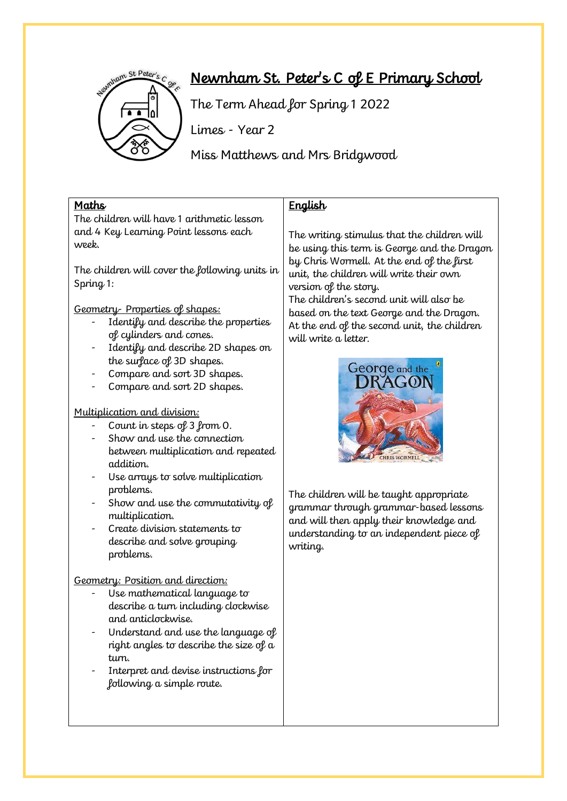

# Newnham St. Peter's C of E Primary School

The Term Ahead for Spring 1 2022

Limes - Year 2

Miss Matthews and Mrs Bridgwood

#### Maths

The children will have 1 arithmetic lesson and 4 Key Learning Point lessons each week.

The children will cover the following units in Spring 1:

Geometry- Properties of shapes:

- Identify and describe the properties of cylinders and cones.
- Identify and describe 2D shapes on the surface of 3D shapes.
- Compare and sort 3D shapes.
- Compare and sort 2D shapes.

#### Multiplication and division:

- Count in steps of 3 from 0.
- Show and use the connection between multiplication and repeated addition.
- Use arrays to solve multiplication problems.
- Show and use the commutativity of multiplication.
- Create division statements to describe and solve grouping problems.

Geometry: Position and direction:

- Use mathematical language to describe a turn including clockwise and anticlockwise.
- Understand and use the language of right angles to describe the size of a turn.
- Interpret and devise instructions for following a simple route.

## **English**

The writing stimulus that the children will be using this term is George and the Dragon by Chris Wormell. At the end of the first unit, the children will write their own version of the story.

The children's second unit will also be based on the text George and the Dragon. At the end of the second unit, the children will write a letter.



The children will be taught appropriate grammar through grammar-based lessons and will then apply their knowledge and understanding to an independent piece of writing.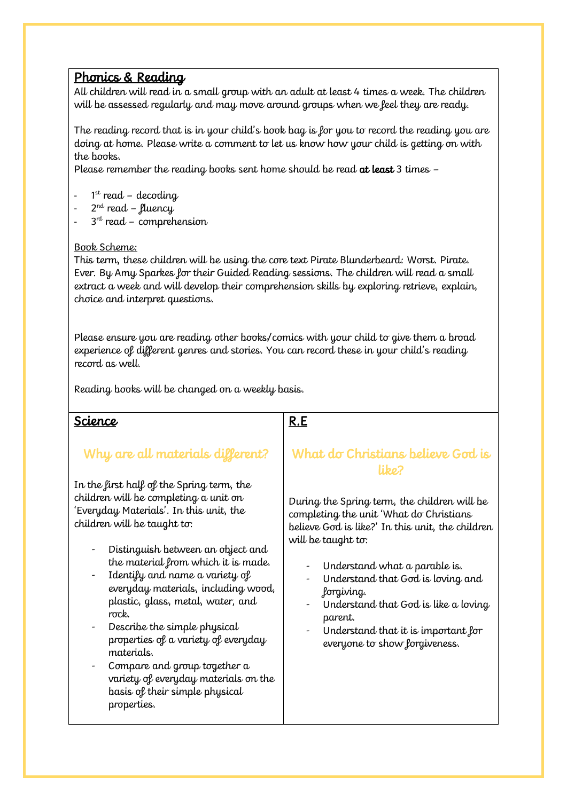### Phonics & Reading

All children will read in a small group with an adult at least 4 times a week. The children will be assessed regularly and may move around groups when we feel they are ready.

The reading record that is in your child's book bag is for you to record the reading you are doing at home. Please write a comment to let us know how your child is getting on with the books.

Please remember the reading books sent home should be read at least 3 times -

- 1 st read decoding
- 2<sup>nd</sup> read fluency
- 3<sup>rd</sup> read comprehension

#### Book Scheme:

This term, these children will be using the core text Pirate Blunderbeard: Worst. Pirate. Ever. By Amy Sparkes for their Guided Reading sessions. The children will read a small extract a week and will develop their comprehension skills by exploring retrieve, explain, choice and interpret questions.

Please ensure you are reading other books/comics with your child to give them a broad experience of different genres and stories. You can record these in your child's reading record as well.

Reading books will be changed on a weekly basis.

### Science

### Why are all materials different?

In the first half of the Spring term, the children will be completing a unit on 'Everyday Materials'. In this unit, the children will be taught to:

- Distinguish between an object and the material from which it is made.
- Identify and name a variety of everyday materials, including wood, plastic, glass, metal, water, and rock.
- Describe the simple physical properties of a variety of everyday materials.
- Compare and group together a variety of everyday materials on the basis of their simple physical properties.

### R.E

### What do Christians believe God is libo?

During the Spring term, the children will be completing the unit 'What do Christians believe God is like?' In this unit, the children will be taught to:

- Understand what a parable is.
- Understand that God is loving and forgiving.
- Understand that God is like a loving parent.
- Understand that it is important for everyone to show forgiveness.